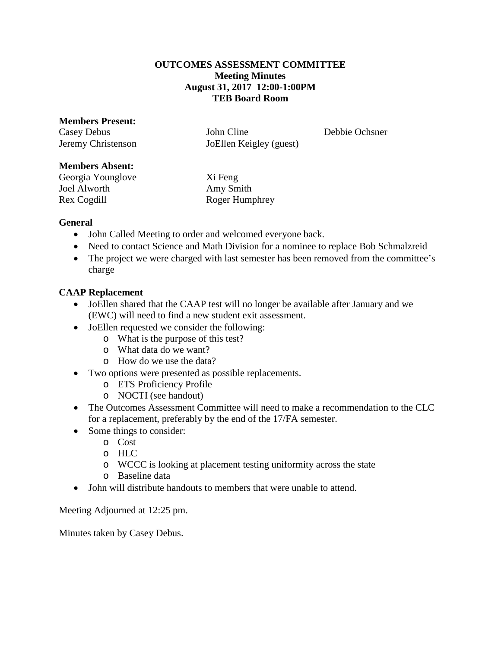## **OUTCOMES ASSESSMENT COMMITTEE Meeting Minutes August 31, 2017 12:00-1:00PM TEB Board Room**

### **Members Present:**

Casey Debus John Cline Debbie Ochsner Jeremy Christenson JoEllen Keigley (guest)

## **Members Absent:**

Georgia Younglove Xi Feng Joel Alworth Amy Smith

Rex Cogdill Roger Humphrey

# **General**

- John Called Meeting to order and welcomed everyone back.
- Need to contact Science and Math Division for a nominee to replace Bob Schmalzreid
- The project we were charged with last semester has been removed from the committee's charge

# **CAAP Replacement**

- JoEllen shared that the CAAP test will no longer be available after January and we (EWC) will need to find a new student exit assessment.
- JoEllen requested we consider the following:
	- o What is the purpose of this test?
	- o What data do we want?
	- o How do we use the data?
- Two options were presented as possible replacements.
	- o ETS Proficiency Profile
	- o NOCTI (see handout)
- The Outcomes Assessment Committee will need to make a recommendation to the CLC for a replacement, preferably by the end of the 17/FA semester.
- Some things to consider:
	- o Cost
	- o HLC
	- o WCCC is looking at placement testing uniformity across the state
	- o Baseline data
- John will distribute handouts to members that were unable to attend.

Meeting Adjourned at 12:25 pm.

Minutes taken by Casey Debus.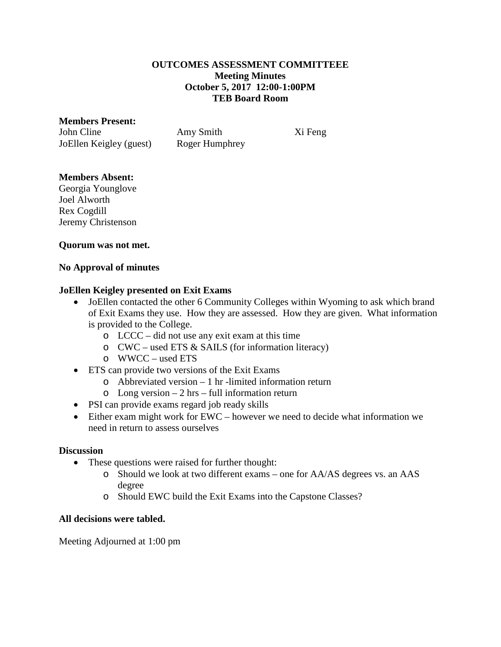### **OUTCOMES ASSESSMENT COMMITTEEE Meeting Minutes October 5, 2017 12:00-1:00PM TEB Board Room**

#### **Members Present:**

John Cline Amy Smith Xi Feng JoEllen Keigley (guest) Roger Humphrey

## **Members Absent:**

Georgia Younglove Joel Alworth Rex Cogdill Jeremy Christenson

## **Quorum was not met.**

## **No Approval of minutes**

## **JoEllen Keigley presented on Exit Exams**

- JoEllen contacted the other 6 Community Colleges within Wyoming to ask which brand of Exit Exams they use. How they are assessed. How they are given. What information is provided to the College.
	- o LCCC did not use any exit exam at this time
	- o CWC used ETS & SAILS (for information literacy)
	- o WWCC used ETS
- ETS can provide two versions of the Exit Exams
	- o Abbreviated version 1 hr -limited information return
	- $\circ$  Long version 2 hrs full information return
- PSI can provide exams regard job ready skills
- Either exam might work for EWC however we need to decide what information we need in return to assess ourselves

#### **Discussion**

- These questions were raised for further thought:
	- o Should we look at two different exams one for AA/AS degrees vs. an AAS degree
	- o Should EWC build the Exit Exams into the Capstone Classes?

## **All decisions were tabled.**

Meeting Adjourned at 1:00 pm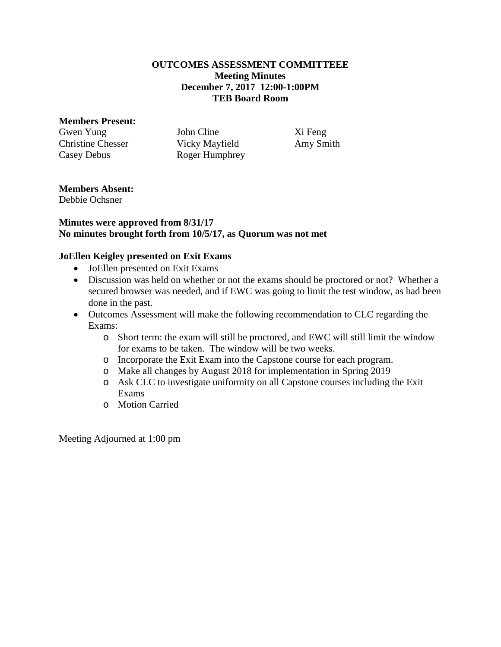#### **OUTCOMES ASSESSMENT COMMITTEEE Meeting Minutes December 7, 2017 12:00-1:00PM TEB Board Room**

#### **Members Present:**

Gwen Yung John Cline Xi Feng Christine Chesser Vicky Mayfield Amy Smith Casey Debus Roger Humphrey

# **Members Absent:**

Debbie Ochsner

## **Minutes were approved from 8/31/17 No minutes brought forth from 10/5/17, as Quorum was not met**

## **JoEllen Keigley presented on Exit Exams**

- JoEllen presented on Exit Exams
- Discussion was held on whether or not the exams should be proctored or not? Whether a secured browser was needed, and if EWC was going to limit the test window, as had been done in the past.
- Outcomes Assessment will make the following recommendation to CLC regarding the Exams:
	- o Short term: the exam will still be proctored, and EWC will still limit the window for exams to be taken. The window will be two weeks.
	- o Incorporate the Exit Exam into the Capstone course for each program.
	- o Make all changes by August 2018 for implementation in Spring 2019
	- o Ask CLC to investigate uniformity on all Capstone courses including the Exit Exams
	- o Motion Carried

Meeting Adjourned at 1:00 pm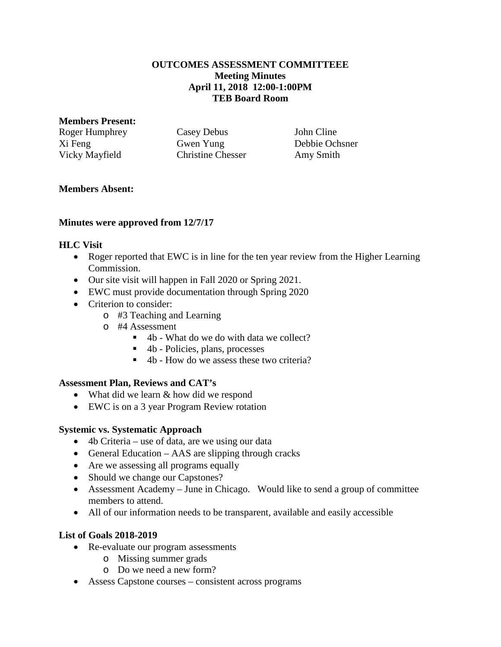## **OUTCOMES ASSESSMENT COMMITTEEE Meeting Minutes April 11, 2018 12:00-1:00PM TEB Board Room**

### **Members Present:**

Roger Humphrey Casey Debus John Cline Xi Feng Gwen Yung Debbie Ochsner Vicky Mayfield Christine Chesser Amy Smith

# **Members Absent:**

# **Minutes were approved from 12/7/17**

# **HLC Visit**

- Roger reported that EWC is in line for the ten year review from the Higher Learning Commission.
- Our site visit will happen in Fall 2020 or Spring 2021.
- EWC must provide documentation through Spring 2020
- Criterion to consider:
	- o #3 Teaching and Learning
	- o #4 Assessment
		- $\blacksquare$  4b What do we do with data we collect?
		- 4b Policies, plans, processes
		- $\blacksquare$  4b How do we assess these two criteria?

# **Assessment Plan, Reviews and CAT's**

- What did we learn & how did we respond
- EWC is on a 3 year Program Review rotation

## **Systemic vs. Systematic Approach**

- 4b Criteria use of data, are we using our data
- General Education AAS are slipping through cracks
- Are we assessing all programs equally
- Should we change our Capstones?
- Assessment Academy June in Chicago. Would like to send a group of committee members to attend.
- All of our information needs to be transparent, available and easily accessible

## **List of Goals 2018-2019**

- Re-evaluate our program assessments
	- o Missing summer grads
	- o Do we need a new form?
- Assess Capstone courses consistent across programs